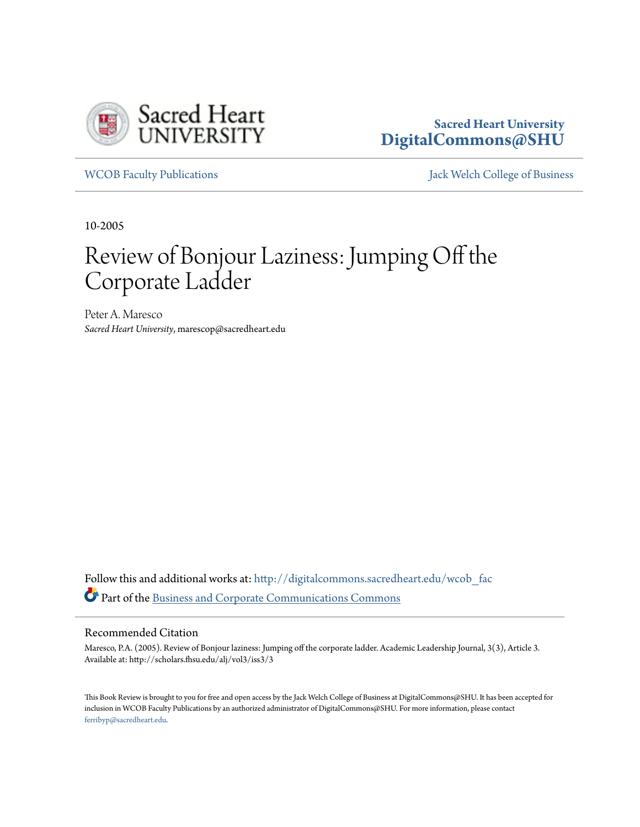

### **Sacred Heart University [DigitalCommons@SHU](http://digitalcommons.sacredheart.edu?utm_source=digitalcommons.sacredheart.edu%2Fwcob_fac%2F451&utm_medium=PDF&utm_campaign=PDFCoverPages)**

[WCOB Faculty Publications](http://digitalcommons.sacredheart.edu/wcob_fac?utm_source=digitalcommons.sacredheart.edu%2Fwcob_fac%2F451&utm_medium=PDF&utm_campaign=PDFCoverPages) [Jack Welch College of Business](http://digitalcommons.sacredheart.edu/wcob?utm_source=digitalcommons.sacredheart.edu%2Fwcob_fac%2F451&utm_medium=PDF&utm_campaign=PDFCoverPages)

10-2005

# Review of Bonjour Laziness: Jumping Off the Corporate Ladder

Peter A. Maresco *Sacred Heart University*, marescop@sacredheart.edu

Follow this and additional works at: [http://digitalcommons.sacredheart.edu/wcob\\_fac](http://digitalcommons.sacredheart.edu/wcob_fac?utm_source=digitalcommons.sacredheart.edu%2Fwcob_fac%2F451&utm_medium=PDF&utm_campaign=PDFCoverPages) Part of the [Business and Corporate Communications Commons](http://network.bepress.com/hgg/discipline/627?utm_source=digitalcommons.sacredheart.edu%2Fwcob_fac%2F451&utm_medium=PDF&utm_campaign=PDFCoverPages)

#### Recommended Citation

Maresco, P.A. (2005). Review of Bonjour laziness: Jumping off the corporate ladder. Academic Leadership Journal, 3(3), Article 3. Available at: http://scholars.fhsu.edu/alj/vol3/iss3/3

This Book Review is brought to you for free and open access by the Jack Welch College of Business at DigitalCommons@SHU. It has been accepted for inclusion in WCOB Faculty Publications by an authorized administrator of DigitalCommons@SHU. For more information, please contact [ferribyp@sacredheart.edu](mailto:ferribyp@sacredheart.edu).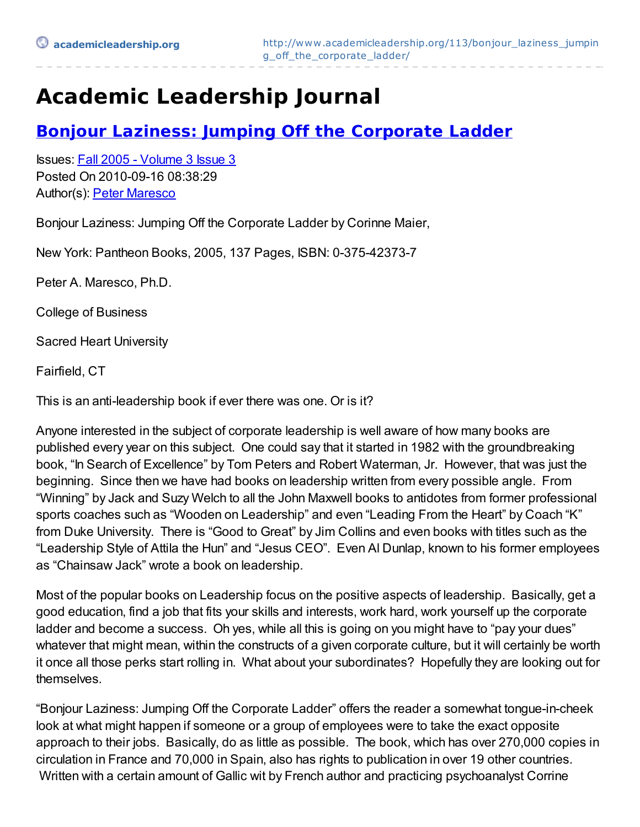# **Academic Leadership Journal**

### **Bonjour Laziness: Jumping Off the [Corporate](http://www.academicleadership.org/113/bonjour_laziness_jumping_off_the_corporate_ladder/) Ladder**

Issues: Fall 2005 - [Volume](http://www.academicleadership.org/issue/fall-2005/) 3 Issue 3 Posted On 2010-09-16 08:38:29 Author(s): Peter [Maresco](http://www.academicleadership.org/author/pmaresco1071/)

Bonjour Laziness: Jumping Off the Corporate Ladder by Corinne Maier,

New York: Pantheon Books, 2005, 137 Pages, ISBN: 0-375-42373-7

Peter A. Maresco, Ph.D.

College of Business

Sacred Heart University

Fairfield, CT

This is an anti-leadership book if ever there was one. Or is it?

Anyone interested in the subject of corporate leadership is well aware of how many books are published every year on this subject. One could say that it started in 1982 with the groundbreaking book, "In Search of Excellence" by Tom Peters and Robert Waterman, Jr. However, that was just the beginning. Since then we have had books on leadership written from every possible angle. From "Winning" by Jack and Suzy Welch to all the John Maxwell books to antidotes from former professional sports coaches such as "Wooden on Leadership" and even "Leading From the Heart" by Coach "K" from Duke University. There is "Good to Great" by Jim Collins and even books with titles such as the "Leadership Style of Attila the Hun" and "Jesus CEO". Even Al Dunlap, known to his former employees as "Chainsaw Jack" wrote a book on leadership.

Most of the popular books on Leadership focus on the positive aspects of leadership. Basically, get a good education, find a job that fits your skills and interests, work hard, work yourself up the corporate ladder and become a success. Oh yes, while all this is going on you might have to "pay your dues" whatever that might mean, within the constructs of a given corporate culture, but it will certainly be worth it once all those perks start rolling in. What about your subordinates? Hopefully they are looking out for themselves.

"Bonjour Laziness: Jumping Off the Corporate Ladder" offers the reader a somewhat tongue-in-cheek look at what might happen if someone or a group of employees were to take the exact opposite approach to their jobs. Basically, do as little as possible. The book, which has over 270,000 copies in circulation in France and 70,000 in Spain, also has rights to publication in over 19 other countries. Written with a certain amount of Gallic wit by French author and practicing psychoanalyst Corrine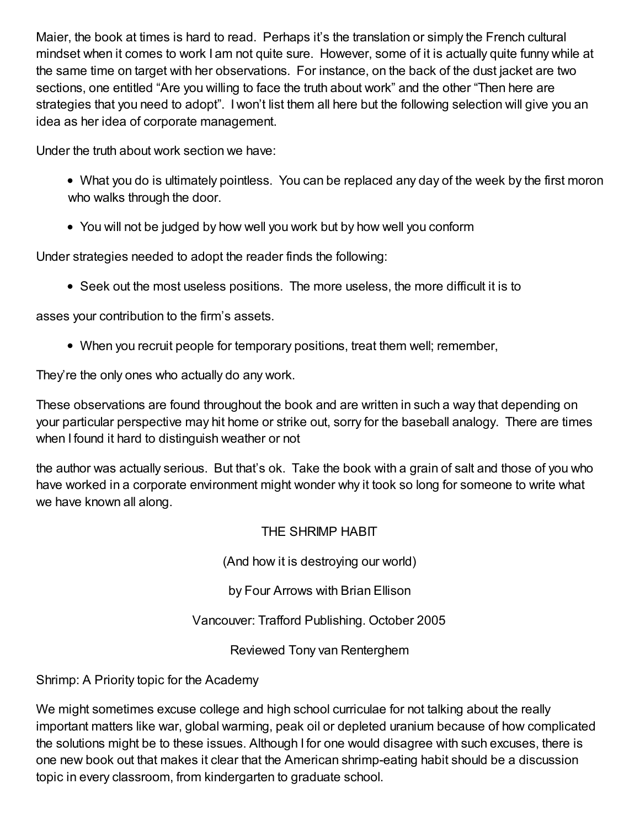Maier, the book at times is hard to read. Perhaps it's the translation or simply the French cultural mindset when it comes to work I am not quite sure. However, some of it is actually quite funny while at the same time on target with her observations. For instance, on the back of the dust jacket are two sections, one entitled "Are you willing to face the truth about work" and the other "Then here are strategies that you need to adopt". I won't list them all here but the following selection will give you an idea as her idea of corporate management.

Under the truth about work section we have:

- What you do is ultimately pointless. You can be replaced any day of the week by the first moron who walks through the door.
- You will not be judged by how well you work but by how well you conform

Under strategies needed to adopt the reader finds the following:

Seek out the most useless positions. The more useless, the more difficult it is to

asses your contribution to the firm's assets.

When you recruit people for temporary positions, treat them well; remember,

They're the only ones who actually do any work.

These observations are found throughout the book and are written in such a way that depending on your particular perspective may hit home or strike out, sorry for the baseball analogy. There are times when I found it hard to distinguish weather or not

the author was actually serious. But that's ok. Take the book with a grain of salt and those of you who have worked in a corporate environment might wonder why it took so long for someone to write what we have known all along.

THE SHRIMP HABIT

(And how it is destroying our world)

by Four Arrows with Brian Ellison

Vancouver: Trafford Publishing. October 2005

Reviewed Tony van Renterghem

Shrimp: A Priority topic for the Academy

We might sometimes excuse college and high school curriculae for not talking about the really important matters like war, global warming, peak oil or depleted uranium because of how complicated the solutions might be to these issues. Although I for one would disagree with such excuses, there is one new book out that makes it clear that the American shrimp-eating habit should be a discussion topic in every classroom, from kindergarten to graduate school.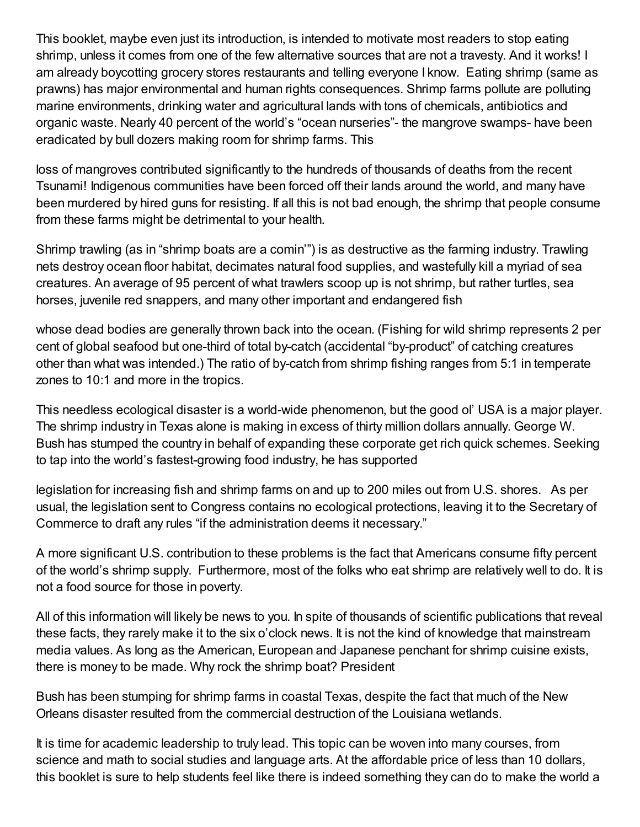This booklet, maybe even just its introduction, is intended to motivate most readers to stop eating shrimp, unless it comes from one of the few alternative sources that are not a travesty. And it works! I am already boycotting grocery stores restaurants and telling everyone I know. Eating shrimp (same as prawns) has major environmental and human rights consequences. Shrimp farms pollute are polluting marine environments, drinking water and agricultural lands with tons of chemicals, antibiotics and organic waste. Nearly 40 percent of the world's "ocean nurseries"- the mangrove swamps- have been eradicated by bull dozers making room for shrimp farms. This

loss of mangroves contributed significantly to the hundreds of thousands of deaths from the recent Tsunami! Indigenous communities have been forced off their lands around the world, and many have been murdered by hired guns for resisting. If all this is not bad enough, the shrimp that people consume from these farms might be detrimental to your health.

Shrimp trawling (as in "shrimp boats are a comin'") is as destructive as the farming industry. Trawling nets destroy ocean floor habitat, decimates natural food supplies, and wastefully kill a myriad of sea creatures. An average of 95 percent of what trawlers scoop up is not shrimp, but rather turtles, sea horses, juvenile red snappers, and many other important and endangered fish

whose dead bodies are generally thrown back into the ocean. (Fishing for wild shrimp represents 2 per cent of global seafood but one-third of total by-catch (accidental "by-product" of catching creatures other than what was intended.) The ratio of by-catch from shrimp fishing ranges from 5:1 in temperate zones to 10:1 and more in the tropics.

This needless ecological disaster is a world-wide phenomenon, but the good ol' USA is a major player. The shrimp industry in Texas alone is making in excess of thirty million dollars annually. George W. Bush has stumped the country in behalf of expanding these corporate get rich quick schemes. Seeking to tap into the world's fastest-growing food industry, he has supported

legislation for increasing fish and shrimp farms on and up to 200 miles out from U.S. shores. As per usual, the legislation sent to Congress contains no ecological protections, leaving it to the Secretary of Commerce to draft any rules "if the administration deems it necessary."

A more significant U.S. contribution to these problems is the fact that Americans consume fifty percent of the world's shrimp supply. Furthermore, most of the folks who eat shrimp are relatively well to do. It is not a food source for those in poverty.

All of this information will likely be news to you. In spite of thousands of scientific publications that reveal these facts, they rarely make it to the six o'clock news. It is not the kind of knowledge that mainstream media values. As long as the American, European and Japanese penchant for shrimp cuisine exists, there is money to be made. Why rock the shrimp boat? President

Bush has been stumping for shrimp farms in coastal Texas, despite the fact that much of the New Orleans disaster resulted from the commercial destruction of the Louisiana wetlands.

It is time for academic leadership to truly lead. This topic can be woven into many courses, from science and math to social studies and language arts. At the affordable price of less than 10 dollars, this booklet is sure to help students feel like there is indeed something they can do to make the world a